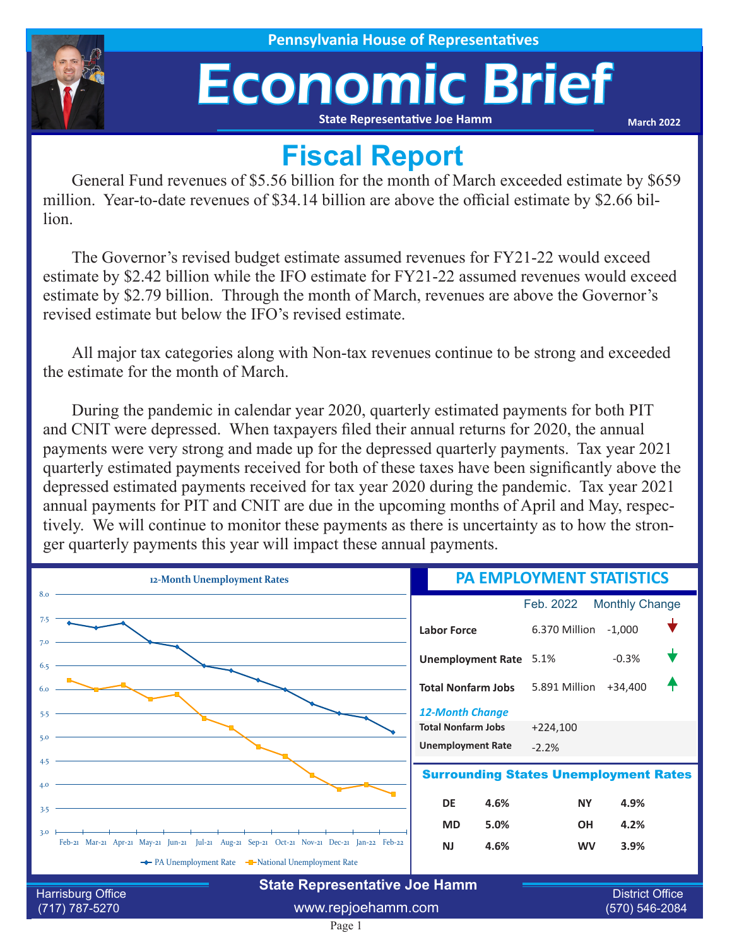## Economic Brief **State Representative Joe Hamm**

**March 2022**

## **Fiscal Report**

General Fund revenues of \$5.56 billion for the month of March exceeded estimate by \$659 million. Year-to-date revenues of \$34.14 billion are above the official estimate by \$2.66 billion.

The Governor's revised budget estimate assumed revenues for FY21-22 would exceed estimate by \$2.42 billion while the IFO estimate for FY21-22 assumed revenues would exceed estimate by \$2.79 billion. Through the month of March, revenues are above the Governor's revised estimate but below the IFO's revised estimate.

All major tax categories along with Non-tax revenues continue to be strong and exceeded the estimate for the month of March.

During the pandemic in calendar year 2020, quarterly estimated payments for both PIT and CNIT were depressed. When taxpayers filed their annual returns for 2020, the annual payments were very strong and made up for the depressed quarterly payments. Tax year 2021 quarterly estimated payments received for both of these taxes have been significantly above the depressed estimated payments received for tax year 2020 during the pandemic. Tax year 2021 annual payments for PIT and CNIT are due in the upcoming months of April and May, respectively. We will continue to monitor these payments as there is uncertainty as to how the stronger quarterly payments this year will impact these annual payments.

| 12-Month Unemployment Rates                                                                       | <b>PA EMPLOYMENT STATISTICS</b> |                        |                       |  |  |
|---------------------------------------------------------------------------------------------------|---------------------------------|------------------------|-----------------------|--|--|
| 8.0                                                                                               |                                 | Feb. 2022              | <b>Monthly Change</b> |  |  |
| 7.5                                                                                               | <b>Labor Force</b>              | 6.370 Million          | $-1,000$              |  |  |
| 7.0<br>6.5                                                                                        | <b>Unemployment Rate</b> 5.1%   |                        | $-0.3%$               |  |  |
|                                                                                                   | <b>Total Nonfarm Jobs</b>       | 5.891 Million          | $+34,400$             |  |  |
| 5.5                                                                                               | <b>12-Month Change</b>          |                        |                       |  |  |
| 5.0                                                                                               | <b>Total Nonfarm Jobs</b>       | $+224,100$             |                       |  |  |
|                                                                                                   | <b>Unemployment Rate</b>        | $-2.2%$                |                       |  |  |
| 4.5<br><b>Surrounding States Unemployment Rates</b><br>4.0                                        |                                 |                        |                       |  |  |
| 3.5                                                                                               | <b>DE</b><br>4.6%               | <b>NY</b>              | 4.9%                  |  |  |
|                                                                                                   | 5.0%<br><b>MD</b>               | <b>OH</b>              | 4.2%                  |  |  |
| 3.0<br>Feb-21 Mar-21 Apr-21 May-21 Jun-21 Jul-21 Aug-21 Sep-21 Oct-21 Nov-21 Dec-21 Jan-22 Feb-22 | 4.6%<br><b>NJ</b>               | <b>WV</b>              | 3.9%                  |  |  |
| ← PA Unemployment Rate – National Unemployment Rate                                               |                                 |                        |                       |  |  |
| <b>State Representative Joe Hamm</b>                                                              |                                 |                        |                       |  |  |
| Harrisburg Office                                                                                 |                                 | <b>District Office</b> |                       |  |  |
| (717) 787-5270                                                                                    | www.repjoehamm.com              |                        | (570) 546-2084        |  |  |

Page 1